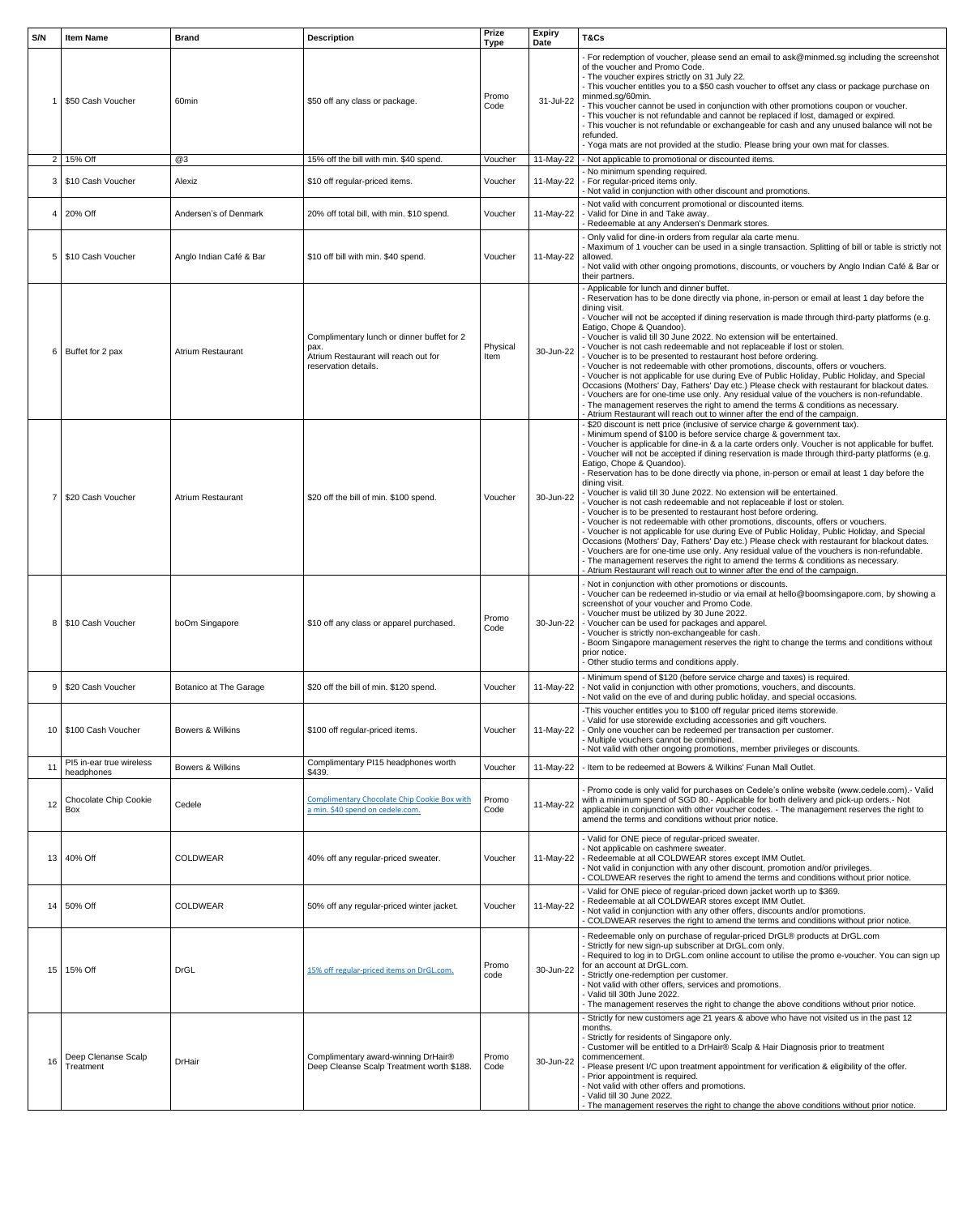| S/N             | <b>Item Name</b>                           | <b>Brand</b>                  | <b>Description</b>                                                                                                 | <b>Prize</b><br><b>Type</b> | <b>Expiry</b><br><b>Date</b> | T&Cs                                                                                                                                                                                                                                                                                                                                                                                                                                                                                                                                                                                                                                                                                                                                                                                                                                                                                                                                                                                                                                                                                                                                                                                                                                                                                            |
|-----------------|--------------------------------------------|-------------------------------|--------------------------------------------------------------------------------------------------------------------|-----------------------------|------------------------------|-------------------------------------------------------------------------------------------------------------------------------------------------------------------------------------------------------------------------------------------------------------------------------------------------------------------------------------------------------------------------------------------------------------------------------------------------------------------------------------------------------------------------------------------------------------------------------------------------------------------------------------------------------------------------------------------------------------------------------------------------------------------------------------------------------------------------------------------------------------------------------------------------------------------------------------------------------------------------------------------------------------------------------------------------------------------------------------------------------------------------------------------------------------------------------------------------------------------------------------------------------------------------------------------------|
|                 | \$50 Cash Voucher                          | 60 <sub>min</sub>             | \$50 off any class or package.                                                                                     | Promo<br>Code               | 31-Jul-22                    | - For redemption of voucher, please send an email to ask@minmed.sg including the screenshot<br>of the voucher and Promo Code.<br>- The voucher expires strictly on 31 July 22.<br>- This voucher entitles you to a \$50 cash voucher to offset any class or package purchase on<br>minmed.sg/60min.<br>- This voucher cannot be used in conjunction with other promotions coupon or voucher.<br>- This voucher is not refundable and cannot be replaced if lost, damaged or expired.<br>- This voucher is not refundable or exchangeable for cash and any unused balance will not be<br>refunded.<br>- Yoga mats are not provided at the studio. Please bring your own mat for classes.                                                                                                                                                                                                                                                                                                                                                                                                                                                                                                                                                                                                         |
|                 | $2 \mid 15\%$ Off                          | @3                            | 15% off the bill with min. \$40 spend.                                                                             | Voucher                     | 11-May-22                    | - Not applicable to promotional or discounted items.                                                                                                                                                                                                                                                                                                                                                                                                                                                                                                                                                                                                                                                                                                                                                                                                                                                                                                                                                                                                                                                                                                                                                                                                                                            |
|                 | 3   \$10 Cash Voucher                      | Alexiz                        | \$10 off regular-priced items.                                                                                     | Voucher                     | 11-May-22                    | - No minimum spending required.<br>- For regular-priced items only.<br>- Not valid in conjunction with other discount and promotions.                                                                                                                                                                                                                                                                                                                                                                                                                                                                                                                                                                                                                                                                                                                                                                                                                                                                                                                                                                                                                                                                                                                                                           |
| $\overline{4}$  | 20% Off                                    | Andersen's of Denmark         | 20% off total bill, with min. \$10 spend.                                                                          | Voucher                     | $11-May-22$                  | - Not valid with concurrent promotional or discounted items.<br>- Valid for Dine in and Take away.<br>Redeemable at any Andersen's Denmark stores.                                                                                                                                                                                                                                                                                                                                                                                                                                                                                                                                                                                                                                                                                                                                                                                                                                                                                                                                                                                                                                                                                                                                              |
| 5               | \$10 Cash Voucher                          | Anglo Indian Café & Bar       | \$10 off bill with min. \$40 spend.                                                                                | Voucher                     | 11-May-22   allowed.         | - Only valid for dine-in orders from regular ala carte menu.<br>- Maximum of 1 voucher can be used in a single transaction. Splitting of bill or table is strictly not<br>- Not valid with other ongoing promotions, discounts, or vouchers by Anglo Indian Café & Bar or<br>their partners.                                                                                                                                                                                                                                                                                                                                                                                                                                                                                                                                                                                                                                                                                                                                                                                                                                                                                                                                                                                                    |
|                 | 6   Buffet for 2 pax                       | <b>Atrium Restaurant</b>      | Complimentary lunch or dinner buffet for 2<br>pax.<br>Atrium Restaurant will reach out for<br>reservation details. | Physical<br>Item            | 30-Jun-22                    | - Applicable for lunch and dinner buffet.<br>- Reservation has to be done directly via phone, in-person or email at least 1 day before the<br>dining visit.<br>- Voucher will not be accepted if dining reservation is made through third-party platforms (e.g.<br>Eatigo, Chope & Quandoo).<br>- Voucher is valid till 30 June 2022. No extension will be entertained.<br>- Voucher is not cash redeemable and not replaceable if lost or stolen.<br>- Voucher is to be presented to restaurant host before ordering.<br>- Voucher is not redeemable with other promotions, discounts, offers or vouchers.<br>- Voucher is not applicable for use during Eve of Public Holiday, Public Holiday, and Special<br>Occasions (Mothers' Day, Fathers' Day etc.) Please check with restaurant for blackout dates.<br>- Vouchers are for one-time use only. Any residual value of the vouchers is non-refundable.<br>- The management reserves the right to amend the terms & conditions as necessary.<br>- Atrium Restaurant will reach out to winner after the end of the campaign.                                                                                                                                                                                                                 |
| 7               | \$20 Cash Voucher                          | <b>Atrium Restaurant</b>      | \$20 off the bill of min. \$100 spend.                                                                             | Voucher                     | 30-Jun-22                    | \$20 discount is nett price (inclusive of service charge & government tax).<br>- Minimum spend of \$100 is before service charge & government tax.<br>- Voucher is applicable for dine-in & a la carte orders only. Voucher is not applicable for buffet.<br>- Voucher will not be accepted if dining reservation is made through third-party platforms (e.g.<br>Eatigo, Chope & Quandoo).<br>- Reservation has to be done directly via phone, in-person or email at least 1 day before the<br>dining visit.<br>- Voucher is valid till 30 June 2022. No extension will be entertained.<br>- Voucher is not cash redeemable and not replaceable if lost or stolen.<br>- Voucher is to be presented to restaurant host before ordering.<br>- Voucher is not redeemable with other promotions, discounts, offers or vouchers.<br>- Voucher is not applicable for use during Eve of Public Holiday, Public Holiday, and Special<br>Occasions (Mothers' Day, Fathers' Day etc.) Please check with restaurant for blackout dates.<br>- Vouchers are for one-time use only. Any residual value of the vouchers is non-refundable.<br>- The management reserves the right to amend the terms & conditions as necessary.<br>- Atrium Restaurant will reach out to winner after the end of the campaign. |
|                 | 8   \$10 Cash Voucher                      | boOm Singapore                | \$10 off any class or apparel purchased.                                                                           | Promo<br>Code               |                              | - Not in conjunction with other promotions or discounts.<br>- Voucher can be redeemed in-studio or via email at hello@boomsingapore.com, by showing a<br>screenshot of your voucher and Promo Code.<br>- Voucher must be utilized by 30 June 2022.<br>30-Jun-22   - Voucher can be used for packages and apparel.<br>- Voucher is strictly non-exchangeable for cash.<br>Boom Singapore management reserves the right to change the terms and conditions without<br>prior notice.<br>- Other studio terms and conditions apply.                                                                                                                                                                                                                                                                                                                                                                                                                                                                                                                                                                                                                                                                                                                                                                 |
| 9               | S20 Cash Voucher                           | <b>Botanico at The Garage</b> | \$20 off the bill of min. \$120 spend.                                                                             | Voucher                     | 11-May-22                    | - Minimum spend of \$120 (before service charge and taxes) is required.<br>- Not valid in conjunction with other promotions, vouchers, and discounts.<br>- Not valid on the eve of and during public holiday, and special occasions.                                                                                                                                                                                                                                                                                                                                                                                                                                                                                                                                                                                                                                                                                                                                                                                                                                                                                                                                                                                                                                                            |
|                 | 10   \$100 Cash Voucher                    | <b>Bowers &amp; Wilkins</b>   | \$100 off regular-priced items.                                                                                    | Voucher                     | 11-May-22                    | -This voucher entitles you to \$100 off regular priced items storewide.<br>- Valid for use storewide excluding accessories and gift vouchers.<br>- Only one voucher can be redeemed per transaction per customer.<br>- Multiple vouchers cannot be combined.<br>- Not valid with other ongoing promotions, member privileges or discounts.                                                                                                                                                                                                                                                                                                                                                                                                                                                                                                                                                                                                                                                                                                                                                                                                                                                                                                                                                      |
|                 | PI5 in-ear true wireless<br>headphones     | <b>Bowers &amp; Wilkins</b>   | Complimentary PI15 headphones worth<br>\$439.                                                                      | Voucher                     | 11-May-22                    | Item to be redeemed at Bowers & Wilkins' Funan Mall Outlet.                                                                                                                                                                                                                                                                                                                                                                                                                                                                                                                                                                                                                                                                                                                                                                                                                                                                                                                                                                                                                                                                                                                                                                                                                                     |
| 12              | <b>Chocolate Chip Cookie</b><br><b>Box</b> | Cedele                        | <b>Complimentary Chocolate Chip Cookie Box with</b><br>a min. \$40 spend on cedele.com.                            | Promo<br>Code               | 11-May-22                    | - Promo code is only valid for purchases on Cedele's online website (www.cedele.com).- Valid<br>with a minimum spend of SGD 80.- Applicable for both delivery and pick-up orders.- Not<br>applicable in conjunction with other voucher codes. - The management reserves the right to<br>amend the terms and conditions without prior notice.                                                                                                                                                                                                                                                                                                                                                                                                                                                                                                                                                                                                                                                                                                                                                                                                                                                                                                                                                    |
|                 | 13 40% Off                                 | <b>COLDWEAR</b>               | 40% off any regular-priced sweater.                                                                                | Voucher                     | 11-May-22                    | - Valid for ONE piece of regular-priced sweater.<br>- Not applicable on cashmere sweater.<br>- Redeemable at all COLDWEAR stores except IMM Outlet.<br>- Not valid in conjunction with any other discount, promotion and/or privileges.<br>COLDWEAR reserves the right to amend the terms and conditions without prior notice.                                                                                                                                                                                                                                                                                                                                                                                                                                                                                                                                                                                                                                                                                                                                                                                                                                                                                                                                                                  |
|                 | 14 50% Off                                 | <b>COLDWEAR</b>               | 50% off any regular-priced winter jacket.                                                                          | Voucher                     | 11-May-22                    | - Valid for ONE piece of regular-priced down jacket worth up to \$369.<br>Redeemable at all COLDWEAR stores except IMM Outlet.<br>Not valid in conjunction with any other offers, discounts and/or promotions.<br>COLDWEAR reserves the right to amend the terms and conditions without prior notice.                                                                                                                                                                                                                                                                                                                                                                                                                                                                                                                                                                                                                                                                                                                                                                                                                                                                                                                                                                                           |
| 15 <sup>1</sup> | 15% Off                                    | <b>DrGL</b>                   | 15% off regular-priced items on DrGL.com.                                                                          | Promo<br>code               | 30-Jun-22                    | - Redeemable only on purchase of regular-priced DrGL® products at DrGL.com<br>Strictly for new sign-up subscriber at DrGL.com only.<br>- Required to log in to DrGL.com online account to utilise the promo e-voucher. You can sign up<br>for an account at DrGL.com.<br>- Strictly one-redemption per customer.<br>- Not valid with other offers, services and promotions.<br>- Valid till 30th June 2022.<br>- The management reserves the right to change the above conditions without prior notice.                                                                                                                                                                                                                                                                                                                                                                                                                                                                                                                                                                                                                                                                                                                                                                                         |
|                 | 16 Deep Clenanse Scalp<br>Treatment        | <b>DrHair</b>                 | Complimentary award-winning DrHair®<br>Deep Cleanse Scalp Treatment worth \$188.                                   | Promo<br>Code               |                              | Strictly for new customers age 21 years & above who have not visited us in the past 12<br>months.<br>- Strictly for residents of Singapore only.<br>- Customer will be entitled to a DrHair® Scalp & Hair Diagnosis prior to treatment<br>$30$ -Jun-22 $\sim$ commencement.<br>- Please present I/C upon treatment appointment for verification & eligibility of the offer.<br>- Prior appointment is required.<br>- Not valid with other offers and promotions.<br>- Valid till 30 June 2022.<br>- The management reserves the right to change the above conditions without prior notice.                                                                                                                                                                                                                                                                                                                                                                                                                                                                                                                                                                                                                                                                                                      |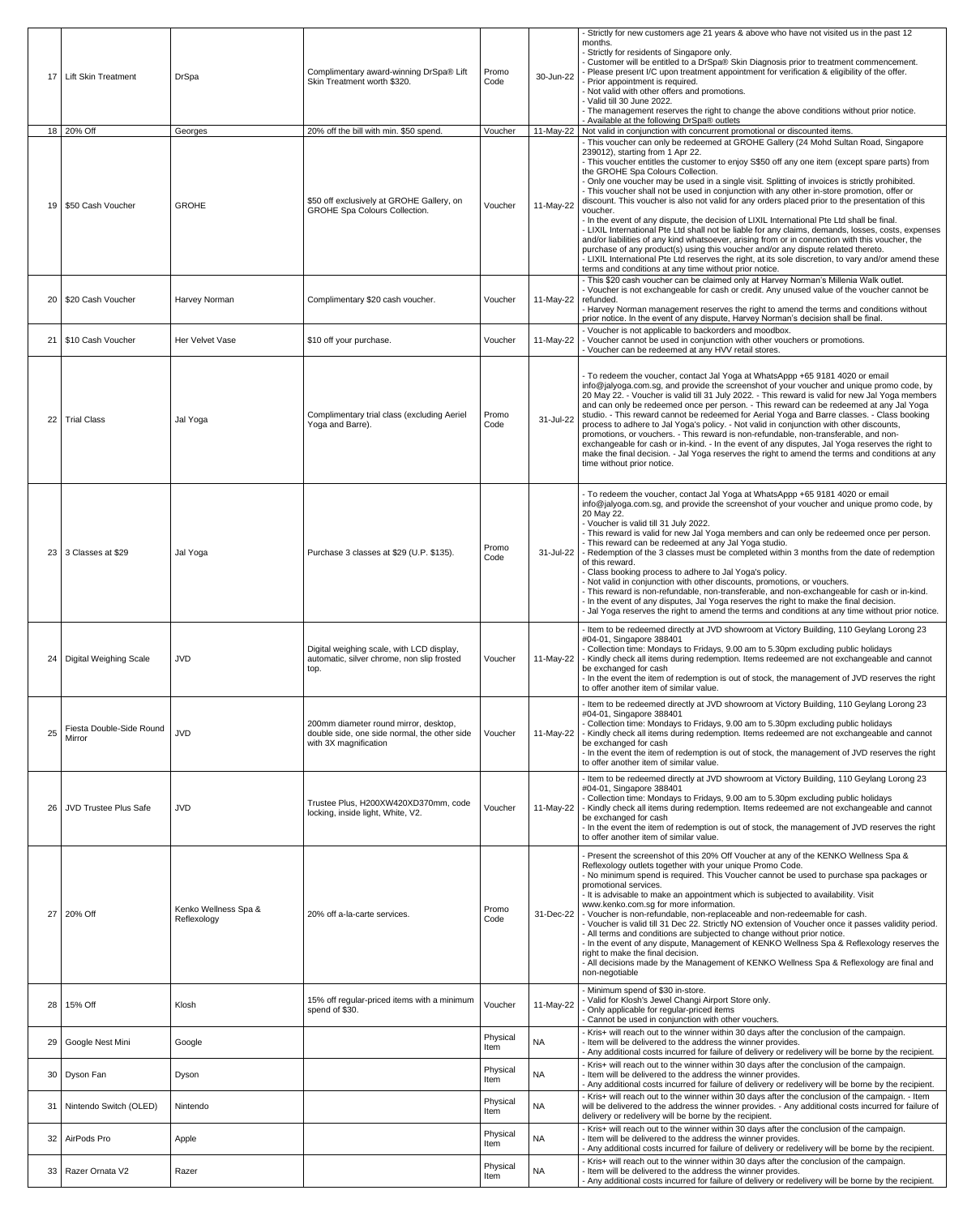|    |                                           |                                     |                                                                                                                |                  |                         | - Strictly for new customers age 21 years & above who have not visited us in the past 12                                                                                                                                                                                                                                                                                                                                                                                                                                                                                                                                                                                                                                                                                                                                                                                                                                                                                                                                                                                                                                                        |
|----|-------------------------------------------|-------------------------------------|----------------------------------------------------------------------------------------------------------------|------------------|-------------------------|-------------------------------------------------------------------------------------------------------------------------------------------------------------------------------------------------------------------------------------------------------------------------------------------------------------------------------------------------------------------------------------------------------------------------------------------------------------------------------------------------------------------------------------------------------------------------------------------------------------------------------------------------------------------------------------------------------------------------------------------------------------------------------------------------------------------------------------------------------------------------------------------------------------------------------------------------------------------------------------------------------------------------------------------------------------------------------------------------------------------------------------------------|
| 17 | <b>Lift Skin Treatment</b>                | <b>DrSpa</b>                        | Complimentary award-winning DrSpa® Lift<br>Skin Treatment worth \$320.                                         | Promo<br>Code    | 30-Jun-22               | months.<br>- Strictly for residents of Singapore only.<br>- Customer will be entitled to a DrSpa® Skin Diagnosis prior to treatment commencement.<br>- Please present I/C upon treatment appointment for verification & eligibility of the offer.<br>- Prior appointment is required.<br>- Not valid with other offers and promotions.<br>- Valid till 30 June 2022.<br>- The management reserves the right to change the above conditions without prior notice.                                                                                                                                                                                                                                                                                                                                                                                                                                                                                                                                                                                                                                                                                |
|    | 18 20% Off                                | Georges                             | 20% off the bill with min. \$50 spend.                                                                         | Voucher          |                         | - Available at the following DrSpa® outlets<br>11-May-22   Not valid in conjunction with concurrent promotional or discounted items.                                                                                                                                                                                                                                                                                                                                                                                                                                                                                                                                                                                                                                                                                                                                                                                                                                                                                                                                                                                                            |
|    | 19   \$50 Cash Voucher                    | <b>GROHE</b>                        | \$50 off exclusively at GROHE Gallery, on<br><b>GROHE Spa Colours Collection.</b>                              | Voucher          | 11-May-22               | - This voucher can only be redeemed at GROHE Gallery (24 Mohd Sultan Road, Singapore<br>239012), starting from 1 Apr 22.<br>- This voucher entitles the customer to enjoy S\$50 off any one item (except spare parts) from<br>the GROHE Spa Colours Collection.<br>- Only one voucher may be used in a single visit. Splitting of invoices is strictly prohibited.<br>- This voucher shall not be used in conjunction with any other in-store promotion, offer or<br>discount. This voucher is also not valid for any orders placed prior to the presentation of this<br>voucher.<br>- In the event of any dispute, the decision of LIXIL International Pte Ltd shall be final.<br>- LIXIL International Pte Ltd shall not be liable for any claims, demands, losses, costs, expenses<br>and/or liabilities of any kind whatsoever, arising from or in connection with this voucher, the<br>purchase of any product(s) using this voucher and/or any dispute related thereto.<br>- LIXIL International Pte Ltd reserves the right, at its sole discretion, to vary and/or amend these<br>terms and conditions at any time without prior notice. |
|    | 20   \$20 Cash Voucher                    | Harvey Norman                       | Complimentary \$20 cash voucher.                                                                               | Voucher          | 11-May-22 $ $ refunded. | - This \$20 cash voucher can be claimed only at Harvey Norman's Millenia Walk outlet.<br>- Voucher is not exchangeable for cash or credit. Any unused value of the voucher cannot be<br>- Harvey Norman management reserves the right to amend the terms and conditions without<br>prior notice. In the event of any dispute, Harvey Norman's decision shall be final.                                                                                                                                                                                                                                                                                                                                                                                                                                                                                                                                                                                                                                                                                                                                                                          |
|    | 21   \$10 Cash Voucher                    | <b>Her Velvet Vase</b>              | \$10 off your purchase.                                                                                        | Voucher          | 11-May-22               | - Voucher is not applicable to backorders and moodbox.<br>- Voucher cannot be used in conjunction with other vouchers or promotions.<br>- Voucher can be redeemed at any HVV retail stores.                                                                                                                                                                                                                                                                                                                                                                                                                                                                                                                                                                                                                                                                                                                                                                                                                                                                                                                                                     |
|    | 22   Trial Class                          | Jal Yoga                            | Complimentary trial class (excluding Aeriel<br>Yoga and Barre).                                                | Promo<br>Code    | 31-Jul-22               | - To redeem the voucher, contact Jal Yoga at WhatsAppp +65 9181 4020 or email<br>info@jalyoga.com.sg, and provide the screenshot of your voucher and unique promo code, by<br>20 May 22. - Voucher is valid till 31 July 2022. - This reward is valid for new Jal Yoga members<br>and can only be redeemed once per person. - This reward can be redeemed at any Jal Yoga<br>studio. - This reward cannot be redeemed for Aerial Yoga and Barre classes. - Class booking<br>process to adhere to Jal Yoga's policy. - Not valid in conjunction with other discounts,<br>promotions, or vouchers. - This reward is non-refundable, non-transferable, and non-<br>exchangeable for cash or in-kind. - In the event of any disputes, Jal Yoga reserves the right to<br>make the final decision. - Jal Yoga reserves the right to amend the terms and conditions at any<br>time without prior notice.                                                                                                                                                                                                                                               |
|    | 23 3 Classes at \$29                      | Jal Yoga                            | Purchase 3 classes at \$29 (U.P. \$135).                                                                       | Promo<br>Code    |                         | - To redeem the voucher, contact Jal Yoga at WhatsAppp +65 9181 4020 or email<br>info@jalyoga.com.sg, and provide the screenshot of your voucher and unique promo code, by<br>20 May 22.<br>- Voucher is valid till 31 July 2022.<br>- This reward is valid for new Jal Yoga members and can only be redeemed once per person.<br>- This reward can be redeemed at any Jal Yoga studio.<br>31-Jul-22   - Redemption of the 3 classes must be completed within 3 months from the date of redemption<br>of this reward.<br>- Class booking process to adhere to Jal Yoga's policy.<br>- Not valid in conjunction with other discounts, promotions, or vouchers.<br>- This reward is non-refundable, non-transferable, and non-exchangeable for cash or in-kind.<br>- In the event of any disputes, Jal Yoga reserves the right to make the final decision.<br>- Jal Yoga reserves the right to amend the terms and conditions at any time without prior notice.                                                                                                                                                                                   |
|    | 24   Digital Weighing Scale               | <b>JVD</b>                          | Digital weighing scale, with LCD display,<br>automatic, silver chrome, non slip frosted<br>top.                | Voucher          | 11-May-22               | - Item to be redeemed directly at JVD showroom at Victory Building, 110 Geylang Lorong 23<br>#04-01, Singapore 388401<br>- Collection time: Mondays to Fridays, 9.00 am to 5.30pm excluding public holidays<br>- Kindly check all items during redemption. Items redeemed are not exchangeable and cannot<br>be exchanged for cash<br>- In the event the item of redemption is out of stock, the management of JVD reserves the right<br>to offer another item of similar value.                                                                                                                                                                                                                                                                                                                                                                                                                                                                                                                                                                                                                                                                |
| 25 | Fiesta Double-Side Round<br><b>Mirror</b> | <b>JVD</b>                          | 200mm diameter round mirror, desktop,<br>double side, one side normal, the other side<br>with 3X magnification | Voucher          |                         | - Item to be redeemed directly at JVD showroom at Victory Building, 110 Geylang Lorong 23<br>#04-01, Singapore 388401<br>- Collection time: Mondays to Fridays, 9.00 am to 5.30pm excluding public holidays<br>11-May-22   - Kindly check all items during redemption. Items redeemed are not exchangeable and cannot<br>be exchanged for cash<br>- In the event the item of redemption is out of stock, the management of JVD reserves the right<br>to offer another item of similar value.                                                                                                                                                                                                                                                                                                                                                                                                                                                                                                                                                                                                                                                    |
| 26 | <b>JVD Trustee Plus Safe</b>              | <b>JVD</b>                          | Trustee Plus, H200XW420XD370mm, code<br>locking, inside light, White, V2.                                      | Voucher          | 11-May-22               | - Item to be redeemed directly at JVD showroom at Victory Building, 110 Geylang Lorong 23<br>#04-01, Singapore 388401<br>- Collection time: Mondays to Fridays, 9.00 am to 5.30pm excluding public holidays<br>- Kindly check all items during redemption. Items redeemed are not exchangeable and cannot<br>be exchanged for cash<br>- In the event the item of redemption is out of stock, the management of JVD reserves the right<br>to offer another item of similar value.                                                                                                                                                                                                                                                                                                                                                                                                                                                                                                                                                                                                                                                                |
| 27 | 20% Off                                   | Kenko Wellness Spa &<br>Reflexology | 20% off a-la-carte services.                                                                                   | Promo<br>Code    |                         | - Present the screenshot of this 20% Off Voucher at any of the KENKO Wellness Spa &<br>Reflexology outlets together with your unique Promo Code.<br>- No minimum spend is required. This Voucher cannot be used to purchase spa packages or<br>promotional services.<br>- It is advisable to make an appointment which is subjected to availability. Visit<br>www.kenko.com.sg for more information.<br>31-Dec-22   - Voucher is non-refundable, non-replaceable and non-redeemable for cash.<br>- Voucher is valid till 31 Dec 22. Strictly NO extension of Voucher once it passes validity period.<br>- All terms and conditions are subjected to change without prior notice.<br>- In the event of any dispute, Management of KENKO Wellness Spa & Reflexology reserves the<br>right to make the final decision.<br>- All decisions made by the Management of KENKO Wellness Spa & Reflexology are final and<br>non-negotiable                                                                                                                                                                                                               |
| 28 | 15% Off                                   | Klosh                               | 15% off regular-priced items with a minimum<br>spend of \$30.                                                  | Voucher          | 11-May-22               | - Minimum spend of \$30 in-store.<br>- Valid for Klosh's Jewel Changi Airport Store only.<br>Only applicable for regular-priced items<br>Cannot be used in conjunction with other vouchers.                                                                                                                                                                                                                                                                                                                                                                                                                                                                                                                                                                                                                                                                                                                                                                                                                                                                                                                                                     |
| 29 | Google Nest Mini                          | Google                              |                                                                                                                | Physical<br>Item | <b>NA</b>               | - Kris+ will reach out to the winner within 30 days after the conclusion of the campaign.<br>- Item will be delivered to the address the winner provides.<br>- Any additional costs incurred for failure of delivery or redelivery will be borne by the recipient.                                                                                                                                                                                                                                                                                                                                                                                                                                                                                                                                                                                                                                                                                                                                                                                                                                                                              |
|    | 30   Dyson Fan                            | Dyson                               |                                                                                                                | Physical<br>Item | <b>NA</b>               | - Kris+ will reach out to the winner within 30 days after the conclusion of the campaign.<br>- Item will be delivered to the address the winner provides.<br>- Any additional costs incurred for failure of delivery or redelivery will be borne by the recipient.<br>- Kris+ will reach out to the winner within 30 days after the conclusion of the campaign. - Item                                                                                                                                                                                                                                                                                                                                                                                                                                                                                                                                                                                                                                                                                                                                                                          |
|    | 31   Nintendo Switch (OLED)               | Nintendo                            |                                                                                                                | Physical<br>Item | <b>NA</b>               | will be delivered to the address the winner provides. - Any additional costs incurred for failure of<br>delivery or redelivery will be borne by the recipient.<br>- Kris+ will reach out to the winner within 30 days after the conclusion of the campaign.                                                                                                                                                                                                                                                                                                                                                                                                                                                                                                                                                                                                                                                                                                                                                                                                                                                                                     |
|    | 32   AirPods Pro                          | Apple                               |                                                                                                                | Physical<br>Item | <b>NA</b>               | - Item will be delivered to the address the winner provides.<br>- Any additional costs incurred for failure of delivery or redelivery will be borne by the recipient.<br>- Kris+ will reach out to the winner within 30 days after the conclusion of the campaign.                                                                                                                                                                                                                                                                                                                                                                                                                                                                                                                                                                                                                                                                                                                                                                                                                                                                              |
|    | 33   Razer Ornata V2                      | Razer                               |                                                                                                                | Physical<br>Item | <b>NA</b>               | - Item will be delivered to the address the winner provides.<br>- Any additional costs incurred for failure of delivery or redelivery will be borne by the recipient.                                                                                                                                                                                                                                                                                                                                                                                                                                                                                                                                                                                                                                                                                                                                                                                                                                                                                                                                                                           |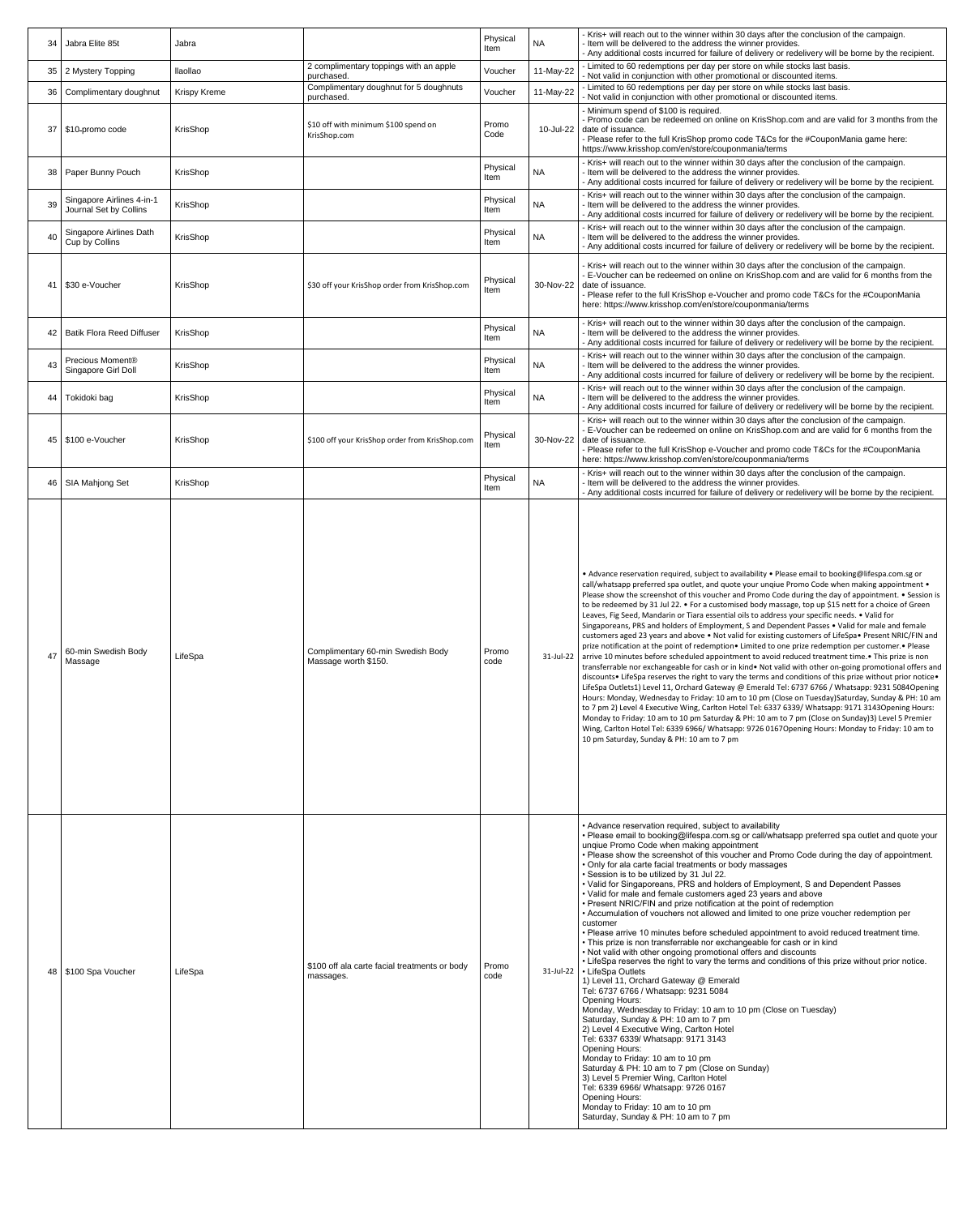| 34 | Jabra Elite 85t                                     | Jabra               |                                                            | Physical<br>Item | <b>NA</b> | - Kris+ will reach out to the winner within 30 days after the conclusion of the campaign.<br>- Item will be delivered to the address the winner provides.<br>- Any additional costs incurred for failure of delivery or redelivery will be borne by the recipient.                                                                                                                                                                                                                                                                                                                                                                                                                                                                                                                                                                                                                                                                                                                                                                                                                                                                                                                                                                                                                                                                                                                                                                                                                                                                                                                                                                                                                                                                                                     |
|----|-----------------------------------------------------|---------------------|------------------------------------------------------------|------------------|-----------|------------------------------------------------------------------------------------------------------------------------------------------------------------------------------------------------------------------------------------------------------------------------------------------------------------------------------------------------------------------------------------------------------------------------------------------------------------------------------------------------------------------------------------------------------------------------------------------------------------------------------------------------------------------------------------------------------------------------------------------------------------------------------------------------------------------------------------------------------------------------------------------------------------------------------------------------------------------------------------------------------------------------------------------------------------------------------------------------------------------------------------------------------------------------------------------------------------------------------------------------------------------------------------------------------------------------------------------------------------------------------------------------------------------------------------------------------------------------------------------------------------------------------------------------------------------------------------------------------------------------------------------------------------------------------------------------------------------------------------------------------------------------|
| 35 | 2 Mystery Topping                                   | llaollao            | 2 complimentary toppings with an apple<br>purchased.       | Voucher          | 11-May-22 | - Limited to 60 redemptions per day per store on while stocks last basis.<br>Not valid in conjunction with other promotional or discounted items.                                                                                                                                                                                                                                                                                                                                                                                                                                                                                                                                                                                                                                                                                                                                                                                                                                                                                                                                                                                                                                                                                                                                                                                                                                                                                                                                                                                                                                                                                                                                                                                                                      |
|    | 36   Complimentary doughnut                         | <b>Krispy Kreme</b> | Complimentary doughnut for 5 doughnuts<br>purchased.       | Voucher          | 11-May-22 | - Limited to 60 redemptions per day per store on while stocks last basis.<br>- Not valid in conjunction with other promotional or discounted items.                                                                                                                                                                                                                                                                                                                                                                                                                                                                                                                                                                                                                                                                                                                                                                                                                                                                                                                                                                                                                                                                                                                                                                                                                                                                                                                                                                                                                                                                                                                                                                                                                    |
| 37 | \$10-promo code                                     | KrisShop            | \$10 off with minimum \$100 spend on<br>KrisShop.com       | Promo<br>Code    |           | - Minimum spend of \$100 is required.<br>- Promo code can be redeemed on online on KrisShop.com and are valid for 3 months from the<br>10-Jul-22 date of issuance.<br>- Please refer to the full KrisShop promo code T&Cs for the #CouponMania game here:<br>https://www.krisshop.com/en/store/couponmania/terms                                                                                                                                                                                                                                                                                                                                                                                                                                                                                                                                                                                                                                                                                                                                                                                                                                                                                                                                                                                                                                                                                                                                                                                                                                                                                                                                                                                                                                                       |
| 38 | Paper Bunny Pouch                                   | KrisShop            |                                                            | Physical<br>Item | <b>NA</b> | - Kris+ will reach out to the winner within 30 days after the conclusion of the campaign.<br>- Item will be delivered to the address the winner provides.<br>- Any additional costs incurred for failure of delivery or redelivery will be borne by the recipient.                                                                                                                                                                                                                                                                                                                                                                                                                                                                                                                                                                                                                                                                                                                                                                                                                                                                                                                                                                                                                                                                                                                                                                                                                                                                                                                                                                                                                                                                                                     |
| 39 | Singapore Airlines 4-in-1<br>Journal Set by Collins | KrisShop            |                                                            | Physical<br>Item | <b>NA</b> | - Kris+ will reach out to the winner within 30 days after the conclusion of the campaign.<br>- Item will be delivered to the address the winner provides.<br>- Any additional costs incurred for failure of delivery or redelivery will be borne by the recipient.                                                                                                                                                                                                                                                                                                                                                                                                                                                                                                                                                                                                                                                                                                                                                                                                                                                                                                                                                                                                                                                                                                                                                                                                                                                                                                                                                                                                                                                                                                     |
| 40 | Singapore Airlines Dath<br>Cup by Collins           | KrisShop            |                                                            | Physical<br>Item | <b>NA</b> | - Kris+ will reach out to the winner within 30 days after the conclusion of the campaign.<br>- Item will be delivered to the address the winner provides.<br>- Any additional costs incurred for failure of delivery or redelivery will be borne by the recipient.                                                                                                                                                                                                                                                                                                                                                                                                                                                                                                                                                                                                                                                                                                                                                                                                                                                                                                                                                                                                                                                                                                                                                                                                                                                                                                                                                                                                                                                                                                     |
| 41 | \$30 e-Voucher                                      | KrisShop            | \$30 off your KrisShop order from KrisShop.com             | Physical<br>Item | 30-Nov-22 | - Kris+ will reach out to the winner within 30 days after the conclusion of the campaign.<br>E-Voucher can be redeemed on online on KrisShop.com and are valid for 6 months from the<br>date of issuance.<br>- Please refer to the full KrisShop e-Voucher and promo code T&Cs for the #CouponMania<br>here: https://www.krisshop.com/en/store/couponmania/terms                                                                                                                                                                                                                                                                                                                                                                                                                                                                                                                                                                                                                                                                                                                                                                                                                                                                                                                                                                                                                                                                                                                                                                                                                                                                                                                                                                                                       |
| 42 | <b>Batik Flora Reed Diffuser</b>                    | KrisShop            |                                                            | Physical<br>Item | <b>NA</b> | - Kris+ will reach out to the winner within 30 days after the conclusion of the campaign.<br>- Item will be delivered to the address the winner provides.<br>- Any additional costs incurred for failure of delivery or redelivery will be borne by the recipient.                                                                                                                                                                                                                                                                                                                                                                                                                                                                                                                                                                                                                                                                                                                                                                                                                                                                                                                                                                                                                                                                                                                                                                                                                                                                                                                                                                                                                                                                                                     |
| 43 | Precious Moment®<br>Singapore Girl Doll             | KrisShop            |                                                            | Physical<br>Item | <b>NA</b> | - Kris+ will reach out to the winner within 30 days after the conclusion of the campaign.<br>- Item will be delivered to the address the winner provides.<br>- Any additional costs incurred for failure of delivery or redelivery will be borne by the recipient.                                                                                                                                                                                                                                                                                                                                                                                                                                                                                                                                                                                                                                                                                                                                                                                                                                                                                                                                                                                                                                                                                                                                                                                                                                                                                                                                                                                                                                                                                                     |
|    | 44 Tokidoki bag                                     | KrisShop            |                                                            | Physical<br>Item | <b>NA</b> | - Kris+ will reach out to the winner within 30 days after the conclusion of the campaign.<br>- Item will be delivered to the address the winner provides.<br>- Any additional costs incurred for failure of delivery or redelivery will be borne by the recipient.                                                                                                                                                                                                                                                                                                                                                                                                                                                                                                                                                                                                                                                                                                                                                                                                                                                                                                                                                                                                                                                                                                                                                                                                                                                                                                                                                                                                                                                                                                     |
|    | 45   \$100 e-Voucher                                | KrisShop            | \$100 off your KrisShop order from KrisShop.com            | Physical         |           | - Kris+ will reach out to the winner within 30 days after the conclusion of the campaign.<br>E-Voucher can be redeemed on online on KrisShop.com and are valid for 6 months from the<br>30-Nov-22 date of issuance.                                                                                                                                                                                                                                                                                                                                                                                                                                                                                                                                                                                                                                                                                                                                                                                                                                                                                                                                                                                                                                                                                                                                                                                                                                                                                                                                                                                                                                                                                                                                                    |
|    |                                                     |                     |                                                            | Item             |           | - Please refer to the full KrisShop e-Voucher and promo code T&Cs for the #CouponMania<br>here: https://www.krisshop.com/en/store/couponmania/terms                                                                                                                                                                                                                                                                                                                                                                                                                                                                                                                                                                                                                                                                                                                                                                                                                                                                                                                                                                                                                                                                                                                                                                                                                                                                                                                                                                                                                                                                                                                                                                                                                    |
|    | 46   SIA Mahjong Set                                | KrisShop            |                                                            | Physical<br>Item | <b>NA</b> | - Kris+ will reach out to the winner within 30 days after the conclusion of the campaign.<br>- Item will be delivered to the address the winner provides.<br>- Any additional costs incurred for failure of delivery or redelivery will be borne by the recipient.                                                                                                                                                                                                                                                                                                                                                                                                                                                                                                                                                                                                                                                                                                                                                                                                                                                                                                                                                                                                                                                                                                                                                                                                                                                                                                                                                                                                                                                                                                     |
| 47 | 60-min Swedish Body<br>Massage                      | LifeSpa             | Complimentary 60-min Swedish Body<br>Massage worth \$150.  | Promo<br>code    |           | • Advance reservation required, subject to availability • Please email to booking@lifespa.com.sg or<br>call/whatsapp preferred spa outlet, and quote your ungiue Promo Code when making appointment •<br>Please show the screenshot of this voucher and Promo Code during the day of appointment. • Session is<br>to be redeemed by 31 Jul 22. • For a customised body massage, top up \$15 nett for a choice of Green<br>Leaves, Fig Seed, Mandarin or Tiara essential oils to address your specific needs. • Valid for<br>Singaporeans, PRS and holders of Employment, S and Dependent Passes • Valid for male and female<br>customers aged 23 years and above • Not valid for existing customers of LifeSpa• Present NRIC/FIN and<br>prize notification at the point of redemption • Limited to one prize redemption per customer. • Please<br>31-Jul-22   arrive 10 minutes before scheduled appointment to avoid reduced treatment time. • This prize is non<br>transferrable nor exchangeable for cash or in kind • Not valid with other on-going promotional offers and<br>discounts • LifeSpa reserves the right to vary the terms and conditions of this prize without prior notice •<br>LifeSpa Outlets1) Level 11, Orchard Gateway @ Emerald Tel: 6737 6766 / Whatsapp: 9231 5084Opening<br>Hours: Monday, Wednesday to Friday: 10 am to 10 pm (Close on Tuesday)Saturday, Sunday & PH: 10 am<br>to 7 pm 2) Level 4 Executive Wing, Carlton Hotel Tel: 6337 6339/ Whatsapp: 9171 3143Opening Hours:<br>Monday to Friday: 10 am to 10 pm Saturday & PH: 10 am to 7 pm (Close on Sunday)3) Level 5 Premier<br>Wing, Carlton Hotel Tel: 6339 6966/ Whatsapp: 9726 0167 Opening Hours: Monday to Friday: 10 am to<br>10 pm Saturday, Sunday & PH: 10 am to 7 pm |
|    | 48   \$100 Spa Voucher                              | LifeSpa             | \$100 off ala carte facial treatments or body<br>massages. | Promo<br>code    |           | • Advance reservation required, subject to availability<br>• Please email to booking@lifespa.com.sg or call/whatsapp preferred spa outlet and quote your<br>unqiue Promo Code when making appointment<br>• Please show the screenshot of this voucher and Promo Code during the day of appointment.<br>• Only for ala carte facial treatments or body massages<br>· Session is to be utilized by 31 Jul 22.<br>• Valid for Singaporeans, PRS and holders of Employment, S and Dependent Passes<br>• Valid for male and female customers aged 23 years and above<br>• Present NRIC/FIN and prize notification at the point of redemption<br>• Accumulation of vouchers not allowed and limited to one prize voucher redemption per<br>customer<br>. Please arrive 10 minutes before scheduled appointment to avoid reduced treatment time.<br>• This prize is non transferrable nor exchangeable for cash or in kind<br>. Not valid with other ongoing promotional offers and discounts<br>. LifeSpa reserves the right to vary the terms and conditions of this prize without prior notice.<br>31-Jul-22   • LifeSpa Outlets<br>1) Level 11, Orchard Gateway @ Emerald<br>Tel: 6737 6766 / Whatsapp: 9231 5084<br><b>Opening Hours:</b><br>Monday, Wednesday to Friday: 10 am to 10 pm (Close on Tuesday)<br>Saturday, Sunday & PH: 10 am to 7 pm<br>2) Level 4 Executive Wing, Carlton Hotel<br>Tel: 6337 6339/ Whatsapp: 9171 3143<br><b>Opening Hours:</b><br>Monday to Friday: 10 am to 10 pm<br>Saturday & PH: 10 am to 7 pm (Close on Sunday)<br>3) Level 5 Premier Wing, Carlton Hotel<br>Tel: 6339 6966/ Whatsapp: 9726 0167<br><b>Opening Hours:</b><br>Monday to Friday: 10 am to 10 pm<br>Saturday, Sunday & PH: 10 am to 7 pm                              |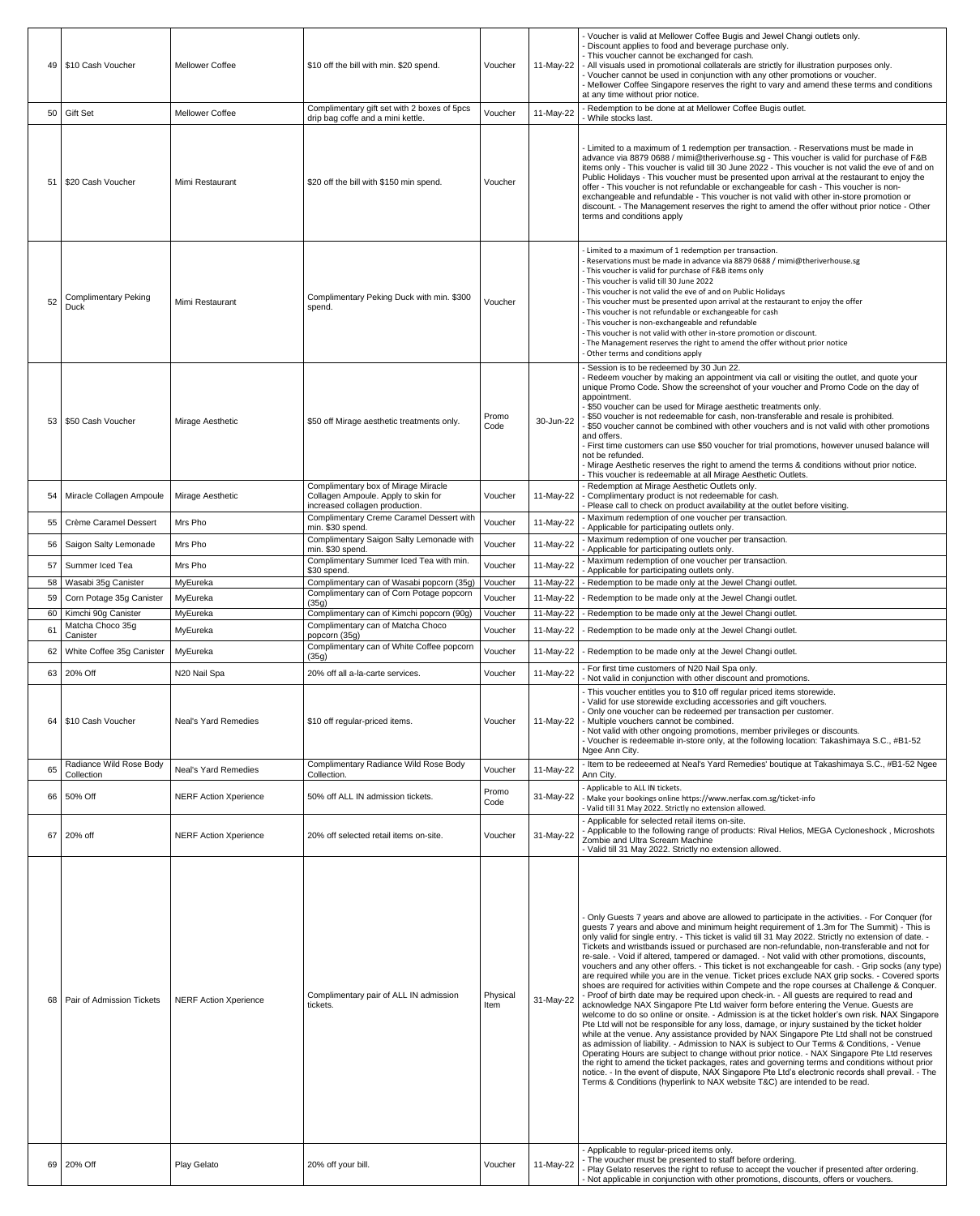| 49        | S10 Cash Voucher                                | <b>Mellower Coffee</b>       | \$10 off the bill with min. \$20 spend.                                                                      | Voucher            | 11-May-22              | - Voucher is valid at Mellower Coffee Bugis and Jewel Changi outlets only.<br>- Discount applies to food and beverage purchase only.<br>- This voucher cannot be exchanged for cash.<br>All visuals used in promotional collaterals are strictly for illustration purposes only.<br>- Voucher cannot be used in conjunction with any other promotions or voucher.<br>- Mellower Coffee Singapore reserves the right to vary and amend these terms and conditions<br>at any time without prior notice.                                                                                                                                                                                                                                                                                                                                                                                                                                                                                                                                                                                                                                                                                                                                                                                                                                                                                                                                                                                                                                                                                                                                                                                                                                                                                           |
|-----------|-------------------------------------------------|------------------------------|--------------------------------------------------------------------------------------------------------------|--------------------|------------------------|-------------------------------------------------------------------------------------------------------------------------------------------------------------------------------------------------------------------------------------------------------------------------------------------------------------------------------------------------------------------------------------------------------------------------------------------------------------------------------------------------------------------------------------------------------------------------------------------------------------------------------------------------------------------------------------------------------------------------------------------------------------------------------------------------------------------------------------------------------------------------------------------------------------------------------------------------------------------------------------------------------------------------------------------------------------------------------------------------------------------------------------------------------------------------------------------------------------------------------------------------------------------------------------------------------------------------------------------------------------------------------------------------------------------------------------------------------------------------------------------------------------------------------------------------------------------------------------------------------------------------------------------------------------------------------------------------------------------------------------------------------------------------------------------------|
|           | 50 Gift Set                                     | <b>Mellower Coffee</b>       | Complimentary gift set with 2 boxes of 5pcs<br>drip bag coffe and a mini kettle.                             | Voucher            | 11-May-22              | Redemption to be done at at Mellower Coffee Bugis outlet.<br>While stocks last.                                                                                                                                                                                                                                                                                                                                                                                                                                                                                                                                                                                                                                                                                                                                                                                                                                                                                                                                                                                                                                                                                                                                                                                                                                                                                                                                                                                                                                                                                                                                                                                                                                                                                                                 |
| 51        | \$20 Cash Voucher                               | Mimi Restaurant              | \$20 off the bill with \$150 min spend.                                                                      | Voucher            |                        | - Limited to a maximum of 1 redemption per transaction. - Reservations must be made in<br>advance via 8879 0688 / mimi@theriverhouse.sg - This voucher is valid for purchase of F&B<br>items only - This voucher is valid till 30 June 2022 - This voucher is not valid the eve of and on<br>Public Holidays - This voucher must be presented upon arrival at the restaurant to enjoy the<br>offer - This voucher is not refundable or exchangeable for cash - This voucher is non-<br>exchangeable and refundable - This voucher is not valid with other in-store promotion or<br>discount. - The Management reserves the right to amend the offer without prior notice - Other<br>terms and conditions apply                                                                                                                                                                                                                                                                                                                                                                                                                                                                                                                                                                                                                                                                                                                                                                                                                                                                                                                                                                                                                                                                                  |
| 52        | <b>Complimentary Peking</b><br>Duck             | Mimi Restaurant              | Complimentary Peking Duck with min. \$300<br>spend.                                                          | Voucher            |                        | - Limited to a maximum of 1 redemption per transaction.<br>- Reservations must be made in advance via 8879 0688 / mimi@theriverhouse.sg<br>- This voucher is valid for purchase of F&B items only<br>- This voucher is valid till 30 June 2022<br>- This voucher is not valid the eve of and on Public Holidays<br>- This voucher must be presented upon arrival at the restaurant to enjoy the offer<br>- This voucher is not refundable or exchangeable for cash<br>- This voucher is non-exchangeable and refundable<br>- This voucher is not valid with other in-store promotion or discount.<br>- The Management reserves the right to amend the offer without prior notice<br>Other terms and conditions apply                                                                                                                                                                                                                                                                                                                                                                                                                                                                                                                                                                                                                                                                                                                                                                                                                                                                                                                                                                                                                                                                            |
| 53        | \$50 Cash Voucher                               | Mirage Aesthetic             | \$50 off Mirage aesthetic treatments only.                                                                   | Promo<br>Code      | 30-Jun-22              | Session is to be redeemed by 30 Jun 22.<br>- Redeem voucher by making an appointment via call or visiting the outlet, and quote your<br>unique Promo Code. Show the screenshot of your voucher and Promo Code on the day of<br>appointment.<br>- \$50 voucher can be used for Mirage aesthetic treatments only.<br>\$50 voucher is not redeemable for cash, non-transferable and resale is prohibited.<br>\$50 voucher cannot be combined with other vouchers and is not valid with other promotions<br>and offers.<br>- First time customers can use \$50 voucher for trial promotions, however unused balance will<br>not be refunded.<br>- Mirage Aesthetic reserves the right to amend the terms & conditions without prior notice.<br>- This voucher is redeemable at all Mirage Aesthetic Outlets.                                                                                                                                                                                                                                                                                                                                                                                                                                                                                                                                                                                                                                                                                                                                                                                                                                                                                                                                                                                        |
| 54        | Miracle Collagen Ampoule                        | Mirage Aesthetic             | Complimentary box of Mirage Miracle<br>Collagen Ampoule. Apply to skin for<br>increased collagen production. | Voucher            | 11-May-22              | - Redemption at Mirage Aesthetic Outlets only.<br>Complimentary product is not redeemable for cash.<br>- Please call to check on product availability at the outlet before visiting.                                                                                                                                                                                                                                                                                                                                                                                                                                                                                                                                                                                                                                                                                                                                                                                                                                                                                                                                                                                                                                                                                                                                                                                                                                                                                                                                                                                                                                                                                                                                                                                                            |
| 55        | <b>Crème Caramel Dessert</b>                    | Mrs Pho                      | <b>Complimentary Creme Caramel Dessert with</b><br>min. \$30 spend.                                          | Voucher            | 11-May-22              | Maximum redemption of one voucher per transaction.<br>Applicable for participating outlets only.                                                                                                                                                                                                                                                                                                                                                                                                                                                                                                                                                                                                                                                                                                                                                                                                                                                                                                                                                                                                                                                                                                                                                                                                                                                                                                                                                                                                                                                                                                                                                                                                                                                                                                |
| 56        | <b>Saigon Salty Lemonade</b>                    | Mrs Pho                      | Complimentary Saigon Salty Lemonade with<br>min. \$30 spend.                                                 | Voucher            | 11-May-22              | Maximum redemption of one voucher per transaction.<br>Applicable for participating outlets only.                                                                                                                                                                                                                                                                                                                                                                                                                                                                                                                                                                                                                                                                                                                                                                                                                                                                                                                                                                                                                                                                                                                                                                                                                                                                                                                                                                                                                                                                                                                                                                                                                                                                                                |
| 57        | Summer Iced Tea                                 | Mrs Pho                      | Complimentary Summer Iced Tea with min.<br>\$30 spend.                                                       | Voucher            | 11-May-22              | Maximum redemption of one voucher per transaction.<br>Applicable for participating outlets only.                                                                                                                                                                                                                                                                                                                                                                                                                                                                                                                                                                                                                                                                                                                                                                                                                                                                                                                                                                                                                                                                                                                                                                                                                                                                                                                                                                                                                                                                                                                                                                                                                                                                                                |
| 58<br>59  | Wasabi 35g Canister<br>Corn Potage 35g Canister | MyEureka<br>MyEureka         | Complimentary can of Wasabi popcorn (35g)<br>Complimentary can of Corn Potage popcorn                        | Voucher<br>Voucher | 11-May-22<br>11-May-22 | Redemption to be made only at the Jewel Changi outlet.<br>Redemption to be made only at the Jewel Changi outlet.                                                                                                                                                                                                                                                                                                                                                                                                                                                                                                                                                                                                                                                                                                                                                                                                                                                                                                                                                                                                                                                                                                                                                                                                                                                                                                                                                                                                                                                                                                                                                                                                                                                                                |
| 60        | Kimchi 90g Canister                             | MyEureka                     | (35g)<br>Complimentary can of Kimchi popcorn (90g)                                                           | Voucher            | 11-May-22              | Redemption to be made only at the Jewel Changi outlet.                                                                                                                                                                                                                                                                                                                                                                                                                                                                                                                                                                                                                                                                                                                                                                                                                                                                                                                                                                                                                                                                                                                                                                                                                                                                                                                                                                                                                                                                                                                                                                                                                                                                                                                                          |
| 61        | Matcha Choco 35g<br>Canister                    | MyEureka                     | Complimentary can of Matcha Choco<br>popcorn (35g)                                                           | Voucher            | 11-May-22              | Redemption to be made only at the Jewel Changi outlet.                                                                                                                                                                                                                                                                                                                                                                                                                                                                                                                                                                                                                                                                                                                                                                                                                                                                                                                                                                                                                                                                                                                                                                                                                                                                                                                                                                                                                                                                                                                                                                                                                                                                                                                                          |
| $62 \mid$ | White Coffee 35g Canister                       | MyEureka                     | Complimentary can of White Coffee popcorn<br>(35g)                                                           | Voucher            | 11-May-22              | Redemption to be made only at the Jewel Changi outlet.                                                                                                                                                                                                                                                                                                                                                                                                                                                                                                                                                                                                                                                                                                                                                                                                                                                                                                                                                                                                                                                                                                                                                                                                                                                                                                                                                                                                                                                                                                                                                                                                                                                                                                                                          |
|           | 63 20% Off                                      | N20 Nail Spa                 | 20% off all a-la-carte services.                                                                             | Voucher            | 11-May-22              | - For first time customers of N20 Nail Spa only.<br>Not valid in conjunction with other discount and promotions.                                                                                                                                                                                                                                                                                                                                                                                                                                                                                                                                                                                                                                                                                                                                                                                                                                                                                                                                                                                                                                                                                                                                                                                                                                                                                                                                                                                                                                                                                                                                                                                                                                                                                |
|           | 64   \$10 Cash Voucher                          | <b>Neal's Yard Remedies</b>  | \$10 off regular-priced items.                                                                               | Voucher            |                        | - This voucher entitles you to \$10 off regular priced items storewide.<br>- Valid for use storewide excluding accessories and gift vouchers.<br>- Only one voucher can be redeemed per transaction per customer.<br>11-May-22 - Multiple vouchers cannot be combined.<br>- Not valid with other ongoing promotions, member privileges or discounts.<br>- Voucher is redeemable in-store only, at the following location: Takashimaya S.C., #B1-52<br>Ngee Ann City.                                                                                                                                                                                                                                                                                                                                                                                                                                                                                                                                                                                                                                                                                                                                                                                                                                                                                                                                                                                                                                                                                                                                                                                                                                                                                                                            |
|           | Radiance Wild Rose Body<br>Collection           | <b>Neal's Yard Remedies</b>  | <b>Complimentary Radiance Wild Rose Body</b><br>Collection.                                                  | Voucher            | 11-May-22              | - Item to be redeeemed at Neal's Yard Remedies' boutique at Takashimaya S.C., #B1-52 Ngee<br>Ann City.                                                                                                                                                                                                                                                                                                                                                                                                                                                                                                                                                                                                                                                                                                                                                                                                                                                                                                                                                                                                                                                                                                                                                                                                                                                                                                                                                                                                                                                                                                                                                                                                                                                                                          |
|           | 66 50% Off                                      | <b>NERF Action Xperience</b> | 50% off ALL IN admission tickets.                                                                            | Promo<br>Code      | 31-May-22              | - Applicable to ALL IN tickets.<br>- Make your bookings online https://www.nerfax.com.sg/ticket-info<br>Valid till 31 May 2022. Strictly no extension allowed.                                                                                                                                                                                                                                                                                                                                                                                                                                                                                                                                                                                                                                                                                                                                                                                                                                                                                                                                                                                                                                                                                                                                                                                                                                                                                                                                                                                                                                                                                                                                                                                                                                  |
| 67        | 20% off                                         | <b>NERF Action Xperience</b> | 20% off selected retail items on-site.                                                                       | Voucher            | 31-May-22              | - Applicable for selected retail items on-site.<br>- Applicable to the following range of products: Rival Helios, MEGA Cycloneshock, Microshots<br>Zombie and Ultra Scream Machine<br>- Valid till 31 May 2022. Strictly no extension allowed.                                                                                                                                                                                                                                                                                                                                                                                                                                                                                                                                                                                                                                                                                                                                                                                                                                                                                                                                                                                                                                                                                                                                                                                                                                                                                                                                                                                                                                                                                                                                                  |
|           | 68   Pair of Admission Tickets                  | <b>NERF Action Xperience</b> | Complimentary pair of ALL IN admission<br>tickets.                                                           | Physical<br>Item   | 31-May-22              | Only Guests 7 years and above are allowed to participate in the activities. - For Conquer (for<br>guests 7 years and above and minimum height requirement of 1.3m for The Summit) - This is<br>only valid for single entry. - This ticket is valid till 31 May 2022. Strictly no extension of date. -<br>Tickets and wristbands issued or purchased are non-refundable, non-transferable and not for<br>re-sale. - Void if altered, tampered or damaged. - Not valid with other promotions, discounts,<br>vouchers and any other offers. - This ticket is not exchangeable for cash. - Grip socks (any type)<br>are required while you are in the venue. Ticket prices exclude NAX grip socks. - Covered sports<br>shoes are required for activities within Compete and the rope courses at Challenge & Conquer.<br>- Proof of birth date may be required upon check-in. - All guests are required to read and<br>acknowledge NAX Singapore Pte Ltd waiver form before entering the Venue. Guests are<br>welcome to do so online or onsite. - Admission is at the ticket holder's own risk. NAX Singapore<br>Pte Ltd will not be responsible for any loss, damage, or injury sustained by the ticket holder<br>while at the venue. Any assistance provided by NAX Singapore Pte Ltd shall not be construed<br>as admission of liability. - Admission to NAX is subject to Our Terms & Conditions, - Venue<br>Operating Hours are subject to change without prior notice. - NAX Singapore Pte Ltd reserves<br>the right to amend the ticket packages, rates and governing terms and conditions without prior<br>notice. - In the event of dispute, NAX Singapore Pte Ltd's electronic records shall prevail. - The<br>Terms & Conditions (hyperlink to NAX website T&C) are intended to be read. |
|           | 69 20% Off                                      | <b>Play Gelato</b>           | 20% off your bill.                                                                                           | Voucher            | 11-May-22              | - Applicable to regular-priced items only.<br>- The voucher must be presented to staff before ordering.<br>Play Gelato reserves the right to refuse to accept the voucher if presented after ordering.<br>- Not applicable in conjunction with other promotions, discounts, offers or vouchers.                                                                                                                                                                                                                                                                                                                                                                                                                                                                                                                                                                                                                                                                                                                                                                                                                                                                                                                                                                                                                                                                                                                                                                                                                                                                                                                                                                                                                                                                                                 |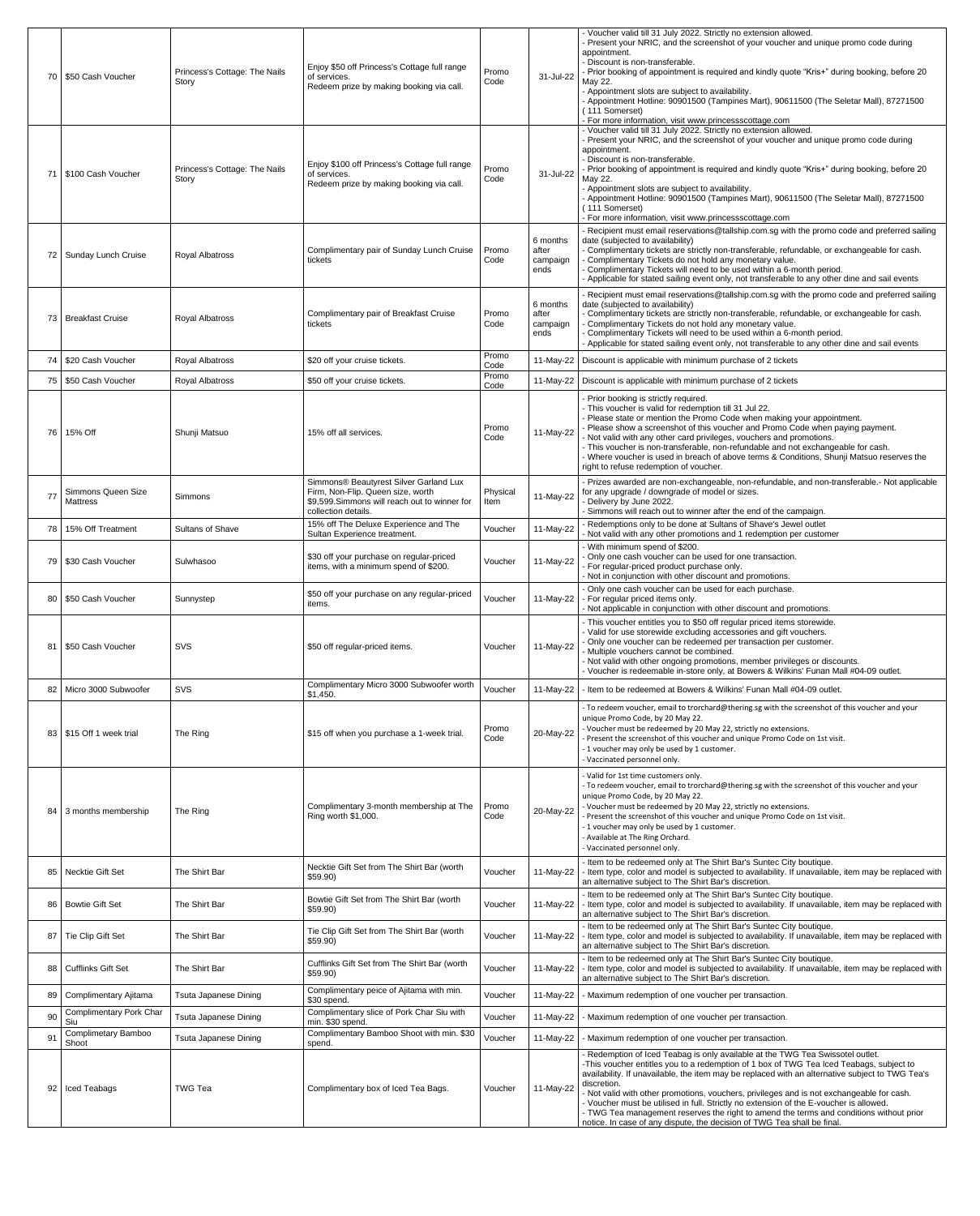| 71              | 70   \$50 Cash Voucher<br>S100 Cash Voucher  | Princess's Cottage: The Nails<br>Story<br>Princess's Cottage: The Nails<br>Story | Enjoy \$50 off Princess's Cottage full range<br>of services.<br>Redeem prize by making booking via call.<br>Enjoy \$100 off Princess's Cottage full range<br>of services.<br>Redeem prize by making booking via call. | Promo<br>Code<br>Promo<br>Code | 31-Jul-22<br>31-Jul-22                | - Voucher valid till 31 July 2022. Strictly no extension allowed.<br>- Present your NRIC, and the screenshot of your voucher and unique promo code during<br>appointment.<br>- Discount is non-transferable.<br>- Prior booking of appointment is required and kindly quote "Kris+" during booking, before 20<br>May 22.<br>- Appointment slots are subject to availability.<br>- Appointment Hotline: 90901500 (Tampines Mart), 90611500 (The Seletar Mall), 87271500<br>(111 Somerset)<br>- For more information, visit www.princessscottage.com<br>- Voucher valid till 31 July 2022. Strictly no extension allowed.<br>- Present your NRIC, and the screenshot of your voucher and unique promo code during<br>appointment.<br>- Discount is non-transferable.<br>- Prior booking of appointment is required and kindly quote "Kris+" during booking, before 20<br>May 22.<br>- Appointment slots are subject to availability.<br>- Appointment Hotline: 90901500 (Tampines Mart), 90611500 (The Seletar Mall), 87271500<br>(111 Somerset)<br>- For more information, visit www.princessscottage.com<br>- Recipient must email reservations@tallship.com.sg with the promo code and preferred sailing |
|-----------------|----------------------------------------------|----------------------------------------------------------------------------------|-----------------------------------------------------------------------------------------------------------------------------------------------------------------------------------------------------------------------|--------------------------------|---------------------------------------|-----------------------------------------------------------------------------------------------------------------------------------------------------------------------------------------------------------------------------------------------------------------------------------------------------------------------------------------------------------------------------------------------------------------------------------------------------------------------------------------------------------------------------------------------------------------------------------------------------------------------------------------------------------------------------------------------------------------------------------------------------------------------------------------------------------------------------------------------------------------------------------------------------------------------------------------------------------------------------------------------------------------------------------------------------------------------------------------------------------------------------------------------------------------------------------------------------------|
|                 | 72   Sunday Lunch Cruise                     | <b>Royal Albatross</b>                                                           | Complimentary pair of Sunday Lunch Cruise<br>tickets                                                                                                                                                                  | Promo<br>Code                  | 6 months<br>after<br>campaign<br>ends | date (subjected to availability)<br>- Complimentary tickets are strictly non-transferable, refundable, or exchangeable for cash.<br>- Complimentary Tickets do not hold any monetary value.<br>- Complimentary Tickets will need to be used within a 6-month period.<br>- Applicable for stated sailing event only, not transferable to any other dine and sail events                                                                                                                                                                                                                                                                                                                                                                                                                                                                                                                                                                                                                                                                                                                                                                                                                                    |
|                 | 73   Breakfast Cruise                        | <b>Royal Albatross</b>                                                           | Complimentary pair of Breakfast Cruise<br>tickets                                                                                                                                                                     | Promo<br>Code                  | 6 months<br>after<br>campaign<br>ends | - Recipient must email reservations@tallship.com.sg with the promo code and preferred sailing<br>date (subjected to availability)<br>- Complimentary tickets are strictly non-transferable, refundable, or exchangeable for cash.<br>- Complimentary Tickets do not hold any monetary value.<br>Complimentary Tickets will need to be used within a 6-month period.<br>- Applicable for stated sailing event only, not transferable to any other dine and sail events                                                                                                                                                                                                                                                                                                                                                                                                                                                                                                                                                                                                                                                                                                                                     |
|                 | 74   \$20 Cash Voucher                       | <b>Royal Albatross</b>                                                           | \$20 off your cruise tickets.                                                                                                                                                                                         | Promo<br>Code                  |                                       | 11-May-22   Discount is applicable with minimum purchase of 2 tickets                                                                                                                                                                                                                                                                                                                                                                                                                                                                                                                                                                                                                                                                                                                                                                                                                                                                                                                                                                                                                                                                                                                                     |
|                 | 75   \$50 Cash Voucher                       | <b>Royal Albatross</b>                                                           | \$50 off your cruise tickets.                                                                                                                                                                                         | Promo<br>Code                  |                                       | 11-May-22   Discount is applicable with minimum purchase of 2 tickets                                                                                                                                                                                                                                                                                                                                                                                                                                                                                                                                                                                                                                                                                                                                                                                                                                                                                                                                                                                                                                                                                                                                     |
| 76              | 15% Off                                      | Shunji Matsuo                                                                    | 15% off all services.                                                                                                                                                                                                 | Promo<br>Code                  | 11-May-22                             | - Prior booking is strictly required.<br>- This voucher is valid for redemption till 31 Jul 22.<br>- Please state or mention the Promo Code when making your appointment.<br>- Please show a screenshot of this voucher and Promo Code when paying payment.<br>- Not valid with any other card privileges, vouchers and promotions.<br>- This voucher is non-transferable, non-refundable and not exchangeable for cash.<br>- Where voucher is used in breach of above terms & Conditions, Shunji Matsuo reserves the<br>right to refuse redemption of voucher.                                                                                                                                                                                                                                                                                                                                                                                                                                                                                                                                                                                                                                           |
|                 | <b>Simmons Queen Size</b><br><b>Mattress</b> | <b>Simmons</b>                                                                   | Simmons® Beautyrest Silver Garland Lux<br>Firm, Non-Flip. Queen size, worth<br>\$9,599. Simmons will reach out to winner for<br>collection details.                                                                   | Physical<br>Item               | 11-May-22                             | - Prizes awarded are non-exchangeable, non-refundable, and non-transferable.- Not applicable<br>for any upgrade / downgrade of model or sizes.<br>- Delivery by June 2022.<br>Simmons will reach out to winner after the end of the campaign.                                                                                                                                                                                                                                                                                                                                                                                                                                                                                                                                                                                                                                                                                                                                                                                                                                                                                                                                                             |
| 78              | 15% Off Treatment                            | <b>Sultans of Shave</b>                                                          | 15% off The Deluxe Experience and The<br>Sultan Experience treatment.                                                                                                                                                 | Voucher                        | 11-May-22                             | Redemptions only to be done at Sultans of Shave's Jewel outlet<br>Not valid with any other promotions and 1 redemption per customer                                                                                                                                                                                                                                                                                                                                                                                                                                                                                                                                                                                                                                                                                                                                                                                                                                                                                                                                                                                                                                                                       |
|                 | 79   \$30 Cash Voucher                       | Sulwhasoo                                                                        | \$30 off your purchase on regular-priced<br>items, with a minimum spend of \$200.                                                                                                                                     | Voucher                        | 11-May-22                             | - With minimum spend of \$200.<br>Only one cash voucher can be used for one transaction.<br>- For regular-priced product purchase only.<br>- Not in conjunction with other discount and promotions.                                                                                                                                                                                                                                                                                                                                                                                                                                                                                                                                                                                                                                                                                                                                                                                                                                                                                                                                                                                                       |
|                 | 80   \$50 Cash Voucher                       | Sunnystep                                                                        | \$50 off your purchase on any regular-priced<br><i>items.</i>                                                                                                                                                         | Voucher                        | 11-May-22                             | - Only one cash voucher can be used for each purchase.<br>- For regular priced items only.<br>- Not applicable in conjunction with other discount and promotions.<br>- This voucher entitles you to \$50 off regular priced items storewide.                                                                                                                                                                                                                                                                                                                                                                                                                                                                                                                                                                                                                                                                                                                                                                                                                                                                                                                                                              |
|                 | 81   \$50 Cash Voucher                       | <b>SVS</b>                                                                       | \$50 off regular-priced items.                                                                                                                                                                                        | Voucher                        | 11-May-22                             | - Valid for use storewide excluding accessories and gift vouchers.<br>- Only one voucher can be redeemed per transaction per customer.<br>- Multiple vouchers cannot be combined.<br>- Not valid with other ongoing promotions, member privileges or discounts.<br>- Voucher is redeemable in-store only, at Bowers & Wilkins' Funan Mall #04-09 outlet.                                                                                                                                                                                                                                                                                                                                                                                                                                                                                                                                                                                                                                                                                                                                                                                                                                                  |
|                 | 82 Micro 3000 Subwoofer                      | SVS                                                                              | Complimentary Micro 3000 Subwoofer worth<br>\$1,450.                                                                                                                                                                  | Voucher                        | 11-May-22                             | - Item to be redeemed at Bowers & Wilkins' Funan Mall #04-09 outlet.                                                                                                                                                                                                                                                                                                                                                                                                                                                                                                                                                                                                                                                                                                                                                                                                                                                                                                                                                                                                                                                                                                                                      |
|                 | 83   \$15 Off 1 week trial                   | The Ring                                                                         | \$15 off when you purchase a 1-week trial.                                                                                                                                                                            | Promo<br>Code                  | 20-May-22                             | - To redeem voucher, email to trorchard@thering.sg with the screenshot of this voucher and your<br>unique Promo Code, by 20 May 22.<br>- Voucher must be redeemed by 20 May 22, strictly no extensions.<br>- Present the screenshot of this voucher and unique Promo Code on 1st visit.<br>-1 voucher may only be used by 1 customer.<br>- Vaccinated personnel only.                                                                                                                                                                                                                                                                                                                                                                                                                                                                                                                                                                                                                                                                                                                                                                                                                                     |
| 84              | 3 months membership                          | The Ring                                                                         | Complimentary 3-month membership at The<br>Ring worth \$1,000.                                                                                                                                                        | Promo<br>Code                  | 20-May-22                             | - Valid for 1st time customers only.<br>- To redeem voucher, email to trorchard@thering.sg with the screenshot of this voucher and your<br>unique Promo Code, by 20 May 22.<br>- Voucher must be redeemed by 20 May 22, strictly no extensions.<br>- Present the screenshot of this voucher and unique Promo Code on 1st visit.<br>- 1 voucher may only be used by 1 customer.<br>- Available at The Ring Orchard.<br>- Vaccinated personnel only.                                                                                                                                                                                                                                                                                                                                                                                                                                                                                                                                                                                                                                                                                                                                                        |
|                 | 85   Necktie Gift Set                        | The Shirt Bar                                                                    | Necktie Gift Set from The Shirt Bar (worth<br>\$59.90                                                                                                                                                                 | Voucher                        | 11-May-22                             | - Item to be redeemed only at The Shirt Bar's Suntec City boutique.<br>- Item type, color and model is subjected to availability. If unavailable, item may be replaced with<br>an alternative subject to The Shirt Bar's discretion.                                                                                                                                                                                                                                                                                                                                                                                                                                                                                                                                                                                                                                                                                                                                                                                                                                                                                                                                                                      |
|                 | 86   Bowtie Gift Set                         | The Shirt Bar                                                                    | Bowtie Gift Set from The Shirt Bar (worth<br>\$59.90                                                                                                                                                                  | Voucher                        | 11-May-22                             | - Item to be redeemed only at The Shirt Bar's Suntec City boutique.<br>- Item type, color and model is subjected to availability. If unavailable, item may be replaced with<br>an alternative subject to The Shirt Bar's discretion.                                                                                                                                                                                                                                                                                                                                                                                                                                                                                                                                                                                                                                                                                                                                                                                                                                                                                                                                                                      |
| 87 <sup>°</sup> | Tie Clip Gift Set                            | The Shirt Bar                                                                    | Tie Clip Gift Set from The Shirt Bar (worth<br>\$59.90)                                                                                                                                                               | Voucher                        | 11-May-22                             | - Item to be redeemed only at The Shirt Bar's Suntec City boutique.<br>- Item type, color and model is subjected to availability. If unavailable, item may be replaced with<br>an alternative subject to The Shirt Bar's discretion.                                                                                                                                                                                                                                                                                                                                                                                                                                                                                                                                                                                                                                                                                                                                                                                                                                                                                                                                                                      |
|                 | 88   Cufflinks Gift Set                      | The Shirt Bar                                                                    | Cufflinks Gift Set from The Shirt Bar (worth<br>\$59.90                                                                                                                                                               | Voucher                        | 11-May-22                             | - Item to be redeemed only at The Shirt Bar's Suntec City boutique.<br>- Item type, color and model is subjected to availability. If unavailable, item may be replaced with<br>an alternative subject to The Shirt Bar's discretion.                                                                                                                                                                                                                                                                                                                                                                                                                                                                                                                                                                                                                                                                                                                                                                                                                                                                                                                                                                      |
| 89              | Complimentary Ajitama                        | <b>Tsuta Japanese Dining</b>                                                     | Complimentary peice of Ajitama with min.<br>\$30 spend.                                                                                                                                                               | Voucher                        | 11-May-22                             | - Maximum redemption of one voucher per transaction.                                                                                                                                                                                                                                                                                                                                                                                                                                                                                                                                                                                                                                                                                                                                                                                                                                                                                                                                                                                                                                                                                                                                                      |
| 90              | <b>Complimentary Pork Char</b><br>Siu        | <b>Tsuta Japanese Dining</b>                                                     | Complimentary slice of Pork Char Siu with<br>min. \$30 spend.                                                                                                                                                         | Voucher                        | 11-May-22                             | Maximum redemption of one voucher per transaction.                                                                                                                                                                                                                                                                                                                                                                                                                                                                                                                                                                                                                                                                                                                                                                                                                                                                                                                                                                                                                                                                                                                                                        |
| 91              | Complimetary Bamboo<br>Shoot                 | <b>Tsuta Japanese Dining</b>                                                     | Complimentary Bamboo Shoot with min. \$30<br>spend.                                                                                                                                                                   | Voucher                        | 11-May-22                             | - Maximum redemption of one voucher per transaction.                                                                                                                                                                                                                                                                                                                                                                                                                                                                                                                                                                                                                                                                                                                                                                                                                                                                                                                                                                                                                                                                                                                                                      |
|                 | 92   Iced Teabags                            | <b>TWG Tea</b>                                                                   | Complimentary box of Iced Tea Bags.                                                                                                                                                                                   | Voucher                        | 11-May-22                             | Redemption of Iced Teabag is only available at the TWG Tea Swissotel outlet.<br>-This voucher entitles you to a redemption of 1 box of TWG Tea Iced Teabags, subject to<br>availability. If unavailable, the item may be replaced with an alternative subject to TWG Tea's<br>discretion.<br>- Not valid with other promotions, vouchers, privileges and is not exchangeable for cash.<br>- Voucher must be utilised in full. Strictly no extension of the E-voucher is allowed.<br>- TWG Tea management reserves the right to amend the terms and conditions without prior<br>notice. In case of any dispute, the decision of TWG Tea shall be final.                                                                                                                                                                                                                                                                                                                                                                                                                                                                                                                                                    |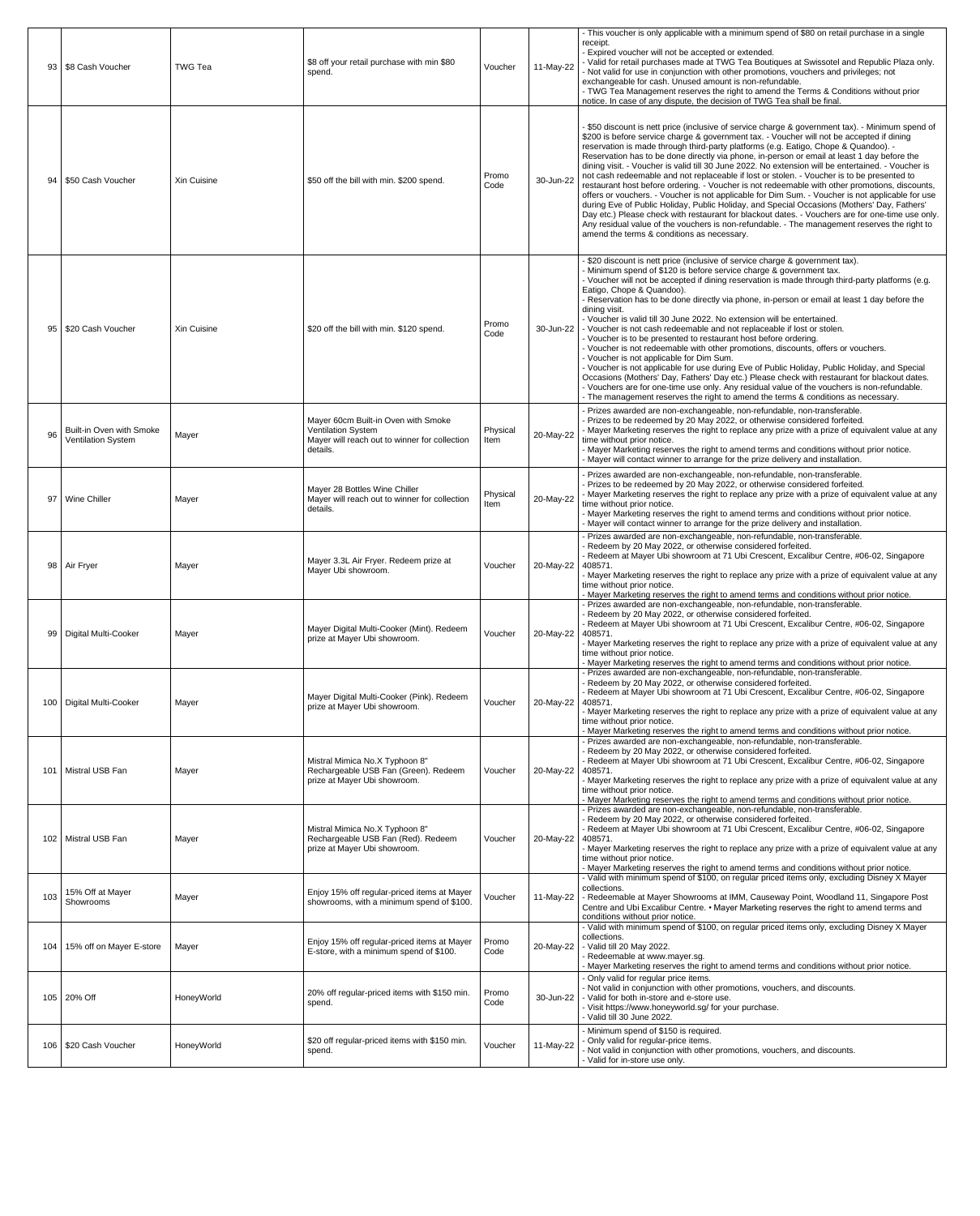|     |                                                              |                |                                                                                                                               |                  |           | - This voucher is only applicable with a minimum spend of \$80 on retail purchase in a single                                                                                                                                                                                                                                                                                                                                                                                                                                                                                                                                                                                                                                                                                                                                                                                                                                                                                                                                                                                                                                                                     |
|-----|--------------------------------------------------------------|----------------|-------------------------------------------------------------------------------------------------------------------------------|------------------|-----------|-------------------------------------------------------------------------------------------------------------------------------------------------------------------------------------------------------------------------------------------------------------------------------------------------------------------------------------------------------------------------------------------------------------------------------------------------------------------------------------------------------------------------------------------------------------------------------------------------------------------------------------------------------------------------------------------------------------------------------------------------------------------------------------------------------------------------------------------------------------------------------------------------------------------------------------------------------------------------------------------------------------------------------------------------------------------------------------------------------------------------------------------------------------------|
|     | 93   \$8 Cash Voucher                                        | <b>TWG Tea</b> | \$8 off your retail purchase with min \$80<br>spend.                                                                          | Voucher          | 11-May-22 | receipt.<br>- Expired voucher will not be accepted or extended.<br>- Valid for retail purchases made at TWG Tea Boutiques at Swissotel and Republic Plaza only.<br>- Not valid for use in conjunction with other promotions, vouchers and privileges; not<br>exchangeable for cash. Unused amount is non-refundable.<br>- TWG Tea Management reserves the right to amend the Terms & Conditions without prior<br>notice. In case of any dispute, the decision of TWG Tea shall be final.                                                                                                                                                                                                                                                                                                                                                                                                                                                                                                                                                                                                                                                                          |
| 94  | \$50 Cash Voucher                                            | Xin Cuisine    | \$50 off the bill with min. \$200 spend.                                                                                      | Promo<br>Code    | 30-Jun-22 | - \$50 discount is nett price (inclusive of service charge & government tax). - Minimum spend of<br>\$200 is before service charge & government tax. - Voucher will not be accepted if dining<br>reservation is made through third-party platforms (e.g. Eatigo, Chope & Quandoo). -<br>Reservation has to be done directly via phone, in-person or email at least 1 day before the<br>dining visit. - Voucher is valid till 30 June 2022. No extension will be entertained. - Voucher is<br>not cash redeemable and not replaceable if lost or stolen. - Voucher is to be presented to<br>restaurant host before ordering. - Voucher is not redeemable with other promotions, discounts,<br>offers or vouchers. - Voucher is not applicable for Dim Sum. - Voucher is not applicable for use<br>during Eve of Public Holiday, Public Holiday, and Special Occasions (Mothers' Day, Fathers'<br>Day etc.) Please check with restaurant for blackout dates. - Vouchers are for one-time use only.<br>Any residual value of the vouchers is non-refundable. - The management reserves the right to<br>amend the terms & conditions as necessary.                    |
| 95  | \$20 Cash Voucher                                            | Xin Cuisine    | \$20 off the bill with min. \$120 spend.                                                                                      | Promo<br>Code    |           | \$20 discount is nett price (inclusive of service charge & government tax).<br>- Minimum spend of \$120 is before service charge & government tax.<br>- Voucher will not be accepted if dining reservation is made through third-party platforms (e.g.<br>Eatigo, Chope & Quandoo).<br>- Reservation has to be done directly via phone, in-person or email at least 1 day before the<br>dining visit.<br>- Voucher is valid till 30 June 2022. No extension will be entertained.<br>30-Jun-22   - Voucher is not cash redeemable and not replaceable if lost or stolen.<br>- Voucher is to be presented to restaurant host before ordering.<br>- Voucher is not redeemable with other promotions, discounts, offers or vouchers.<br>- Voucher is not applicable for Dim Sum.<br>- Voucher is not applicable for use during Eve of Public Holiday, Public Holiday, and Special<br>Occasions (Mothers' Day, Fathers' Day etc.) Please check with restaurant for blackout dates.<br>- Vouchers are for one-time use only. Any residual value of the vouchers is non-refundable.<br>- The management reserves the right to amend the terms & conditions as necessary. |
| 96  | <b>Built-in Oven with Smoke</b><br><b>Ventilation System</b> | Mayer          | Mayer 60cm Built-in Oven with Smoke<br><b>Ventilation System</b><br>Mayer will reach out to winner for collection<br>details. | Physical<br>Item | 20-May-22 | Prizes awarded are non-exchangeable, non-refundable, non-transferable.<br>Prizes to be redeemed by 20 May 2022, or otherwise considered forfeited.<br>- Mayer Marketing reserves the right to replace any prize with a prize of equivalent value at any<br>time without prior notice.<br>- Mayer Marketing reserves the right to amend terms and conditions without prior notice.<br>Mayer will contact winner to arrange for the prize delivery and installation.                                                                                                                                                                                                                                                                                                                                                                                                                                                                                                                                                                                                                                                                                                |
| 97  | <b>Wine Chiller</b>                                          | Mayer          | Mayer 28 Bottles Wine Chiller<br>Mayer will reach out to winner for collection<br>details.                                    | Physical<br>Item | 20-May-22 | Prizes awarded are non-exchangeable, non-refundable, non-transferable.<br>Prizes to be redeemed by 20 May 2022, or otherwise considered forfeited.<br>- Mayer Marketing reserves the right to replace any prize with a prize of equivalent value at any<br>time without prior notice.<br>- Mayer Marketing reserves the right to amend terms and conditions without prior notice.<br>Mayer will contact winner to arrange for the prize delivery and installation.                                                                                                                                                                                                                                                                                                                                                                                                                                                                                                                                                                                                                                                                                                |
|     | 98   Air Fryer                                               | Mayer          | Mayer 3.3L Air Fryer. Redeem prize at<br>Mayer Ubi showroom.                                                                  | Voucher          | 20-May-22 | Prizes awarded are non-exchangeable, non-refundable, non-transferable.<br>Redeem by 20 May 2022, or otherwise considered forfeited.<br>Redeem at Mayer Ubi showroom at 71 Ubi Crescent, Excalibur Centre, #06-02, Singapore<br>408571.<br>- Mayer Marketing reserves the right to replace any prize with a prize of equivalent value at any<br>time without prior notice.                                                                                                                                                                                                                                                                                                                                                                                                                                                                                                                                                                                                                                                                                                                                                                                         |
| 99  | Digital Multi-Cooker                                         | Mayer          | Mayer Digital Multi-Cooker (Mint). Redeem<br>prize at Mayer Ubi showroom.                                                     | Voucher          | 20-May-22 | - Mayer Marketing reserves the right to amend terms and conditions without prior notice.<br>Prizes awarded are non-exchangeable, non-refundable, non-transferable.<br>Redeem by 20 May 2022, or otherwise considered forfeited.<br>Redeem at Mayer Ubi showroom at 71 Ubi Crescent, Excalibur Centre, #06-02, Singapore<br>408571.<br>- Mayer Marketing reserves the right to replace any prize with a prize of equivalent value at any<br>time without prior notice.<br>- Mayer Marketing reserves the right to amend terms and conditions without prior notice.                                                                                                                                                                                                                                                                                                                                                                                                                                                                                                                                                                                                 |
|     | 100   Digital Multi-Cooker                                   | Mayer          | Mayer Digital Multi-Cooker (Pink). Redeem<br>prize at Mayer Ubi showroom.                                                     | Voucher          | 20-May-22 | Prizes awarded are non-exchangeable, non-refundable, non-transferable.<br>Redeem by 20 May 2022, or otherwise considered forfeited.<br>Redeem at Mayer Ubi showroom at 71 Ubi Crescent, Excalibur Centre, #06-02, Singapore<br>408571.<br>- Mayer Marketing reserves the right to replace any prize with a prize of equivalent value at any<br>time without prior notice.<br>- Mayer Marketing reserves the right to amend terms and conditions without prior notice.                                                                                                                                                                                                                                                                                                                                                                                                                                                                                                                                                                                                                                                                                             |
|     | 101   Mistral USB Fan                                        | Mayer          | Mistral Mimica No.X Typhoon 8"<br>Rechargeable USB Fan (Green). Redeem<br>prize at Mayer Ubi showroom.                        | Voucher          | 20-May-22 | Prizes awarded are non-exchangeable, non-refundable, non-transferable.<br>Redeem by 20 May 2022, or otherwise considered forfeited.<br>Redeem at Mayer Ubi showroom at 71 Ubi Crescent, Excalibur Centre, #06-02, Singapore<br>408571.<br>- Mayer Marketing reserves the right to replace any prize with a prize of equivalent value at any<br>time without prior notice.<br>- Mayer Marketing reserves the right to amend terms and conditions without prior notice.                                                                                                                                                                                                                                                                                                                                                                                                                                                                                                                                                                                                                                                                                             |
|     | 102   Mistral USB Fan                                        | Mayer          | Mistral Mimica No.X Typhoon 8"<br>Rechargeable USB Fan (Red). Redeem<br>prize at Mayer Ubi showroom.                          | Voucher          | 20-May-22 | Prizes awarded are non-exchangeable, non-refundable, non-transferable.<br>Redeem by 20 May 2022, or otherwise considered forfeited.<br>Redeem at Mayer Ubi showroom at 71 Ubi Crescent, Excalibur Centre, #06-02, Singapore<br>408571.<br>- Mayer Marketing reserves the right to replace any prize with a prize of equivalent value at any<br>time without prior notice.<br>- Mayer Marketing reserves the right to amend terms and conditions without prior notice.                                                                                                                                                                                                                                                                                                                                                                                                                                                                                                                                                                                                                                                                                             |
| 103 | 15% Off at Mayer<br>Showrooms                                | Mayer          | Enjoy 15% off regular-priced items at Mayer<br>showrooms, with a minimum spend of \$100.                                      | Voucher          | 11-May-22 | - Valid with minimum spend of \$100, on regular priced items only, excluding Disney X Mayer<br>collections.<br>- Redeemable at Mayer Showrooms at IMM, Causeway Point, Woodland 11, Singapore Post<br>Centre and Ubi Excalibur Centre. • Mayer Marketing reserves the right to amend terms and<br>conditions without prior notice.                                                                                                                                                                                                                                                                                                                                                                                                                                                                                                                                                                                                                                                                                                                                                                                                                                |
| 104 | 15% off on Mayer E-store                                     | Mayer          | Enjoy 15% off regular-priced items at Mayer<br>E-store, with a minimum spend of \$100.                                        | Promo<br>Code    |           | - Valid with minimum spend of \$100, on regular priced items only, excluding Disney X Mayer<br>collections.<br>20-May-22   - Valid till 20 May 2022.<br>Redeemable at www.mayer.sg.<br>Mayer Marketing reserves the right to amend terms and conditions without prior notice.                                                                                                                                                                                                                                                                                                                                                                                                                                                                                                                                                                                                                                                                                                                                                                                                                                                                                     |
|     | 105 20% Off                                                  | HoneyWorld     | 20% off regular-priced items with \$150 min.<br>spend.                                                                        | Promo<br>Code    | 30-Jun-22 | - Only valid for regular price items.<br>- Not valid in conjunction with other promotions, vouchers, and discounts.<br>- Valid for both in-store and e-store use.<br>- Visit https://www.honeyworld.sg/ for your purchase.<br>Valid till 30 June 2022.                                                                                                                                                                                                                                                                                                                                                                                                                                                                                                                                                                                                                                                                                                                                                                                                                                                                                                            |
|     | 106   \$20 Cash Voucher                                      | HoneyWorld     | \$20 off regular-priced items with \$150 min.<br>spend.                                                                       | Voucher          | 11-May-22 | - Minimum spend of \$150 is required.<br>- Only valid for regular-price items.<br>- Not valid in conjunction with other promotions, vouchers, and discounts.<br>Valid for in-store use only.                                                                                                                                                                                                                                                                                                                                                                                                                                                                                                                                                                                                                                                                                                                                                                                                                                                                                                                                                                      |